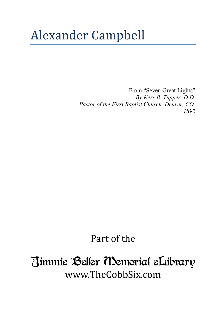## Alexander Campbell

From "Seven Great Lights" *By Kerr B. Tupper, D.D. Pastor of the First Baptist Church, Denver, CO. 1892*

## Part of the

## Jimmie Beller Memorial eLibrary www.TheCobbSix.com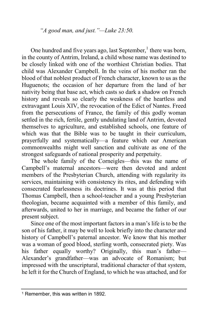*"A good man, and just."—Luke 23:50.*

One hundred and five years ago, last September, $<sup>1</sup>$  there was born,</sup> in the county of Antrim, Ireland, a child whose name was destined to be closely linked with one of the worthiest Christian bodies. That child was Alexander Campbell. In the veins of his mother ran the blood of that noblest product of French character, known to us as the Huguenots; the occasion of her departure from the land of her nativity being that base act, which casts so dark a shadow on French history and reveals so clearly the weakness of the heartless and extravagant Louis XIV, the revocation of the Edict of Nantes. Freed from the persecutions of France, the family of this godly woman settled in the rich, fertile, gently undulating land of Antrim, devoted themselves to agriculture, and established schools, one feature of which was that the Bible was to be taught in their curriculum, prayerfully and systematically—a feature which our American commonwealths might well sanction and cultivate as one of the strongest safeguards of national prosperity and perpetuity.

The whole family of the Corneigles—this was the name of Campbell's maternal ancestors—were then devoted and ardent members of the Presbyterian Church, attending with regularity its services, maintaining with consistency its rites, and defending with consecrated fearlessness its doctrines. It was at this period that Thomas Campbell, then a school-teacher and a young Presbyterian theologian, became acquainted with a member of this family, and afterwards, united to her in marriage, and became the father of our present subject.

Since one of the most important factors in a man's life is to be the son of his father, it may be well to look briefly into the character and history of Campbell's paternal ancestor. We know that his mother was a woman of good blood, sterling worth, consecrated piety. Was his father equally worthy? Originally, this man's father— Alexander's grandfather—was an advocate of Romanism; but impressed with the unscriptural, traditional character of that system, he left it for the Church of England, to which he was attached, and for

<sup>1</sup> Remember, this was written in 1892.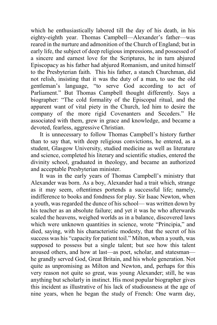which he enthusiastically labored till the day of his death, in his eighty-eighth year. Thomas Campbell—Alexander's father—was reared in the nurture and admonition of the Church of England; but in early life, the subject of deep religious impressions, and possessed of a sincere and earnest love for the Scriptures, he in turn abjured Episcopacy as his father had abjured Romanism, and united himself to the Presbyterian faith. This his father, a stanch Churchman, did not relish, insisting that it was the duty of a man, to use the old gentleman's language, "to serve God according to act of Parliament." But Thomas Campbell thought differently. Says a biographer: "The cold formality of the Episcopal ritual, and the apparent want of vital piety in the Church, led him to desire the company of the more rigid Covenanters and Seceders." He associated with them, grew in grace and knowledge, and became a devoted, fearless, aggressive Christian.

It is unnecessary to follow Thomas Campbell's history further than to say that, with deep religious convictions, he entered, as a student, Glasgow University, studied medicine as well as literature and science, completed his literary and scientific studies, entered the divinity school, graduated in theology, and became an authorized and acceptable Presbyterian minister.

It was in the early years of Thomas Campbell's ministry that Alexander was born. As a boy, Alexander had a trait which, strange as it may seem, oftentimes portends a successful life; namely, indifference to books and fondness for play. Sir Isaac Newton, when a youth, was regarded the dunce of his school— was written down by his teacher as an absolute failure; and yet it was he who afterwards scaled the heavens, weighed worlds as in a balance, discovered laws which were unknown quantities in science, wrote "Principia," and died, saying, with his characteristic modesty, that the secret of his success was his "capacity for patient toil." Milton, when a youth, was supposed to possess but a single talent; but see how this talent aroused others, and how at last—as poet, scholar, and statesman he grandly served God, Great Britain, and his whole generation. Not quite as unpromising as Milton and Newton, and, perhaps for this very reason not quite so great, was young Alexander; still, he was anything but scholarly in instinct. His most popular biographer gives this incident as illustrative of his lack of studiousness at the age of nine years, when he began the study of French: One warm day,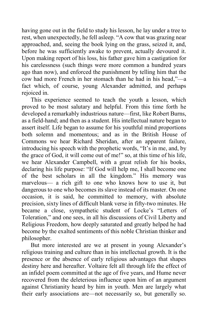having gone out in the field to study his lesson, he lay under a tree to rest, when unexpectedly, he fell asleep. "A cow that was grazing near approached, and, seeing the book lying on the grass, seized it, and, before he was sufficiently awake to prevent, actually devoured it. Upon making report of his loss, his father gave him a castigation for his carelessness (such things were more common a hundred years ago than now), and enforced the punishment by telling him that the cow had more French in her stomach than he had in his head,"—a fact which, of course, young Alexander admitted, and perhaps rejoiced in.

This experience seemed to teach the youth a lesson, which proved to be most salutary and helpful. From this time forth he developed a remarkably industrious nature—first, like Robert Burns, as a field-hand; and then as a student. His intellectual nature began to assert itself. Life began to assume for his youthful mind proportions both solemn and momentous; and as in the British House of Commons we hear Richard Sheridan, after an apparent failure, introducing his speech with the prophetic words, "It's in me, and, by the grace of God, it will come out of me!" so, at this time of his life, we hear Alexander Campbell, with a great relish for his books, declaring his life purpose: "If God will help me, I shall become one of the best scholars in all the kingdom." His memory was marvelous— a rich gift to one who knows how to use it, but dangerous to one who becomes its slave instead of its master. On one occasion, it is said, he committed to memory, with absolute precision, sixty lines of difficult blank verse in fifty-two minutes. He became a close, sympathetic student of Locke's "Letters of Toleration," and one sees, in all his discussions of Civil Liberty and Religious Freedom, how deeply saturated and greatly helped he had become by the exalted sentiments of this noble Christian thinker and philosopher.

But more interested are we at present in young Alexander's religious training and culture than in his intellectual growth. It is the presence or the absence of early religious advantages that shapes destiny here and hereafter. Voltaire felt all through life the effect of an infidel poem committed at the age of five years, and Hume never recovered from the deleterious influence upon him of an argument against Christianity heard by him in youth. Men are largely what their early associations are—not necessarily so, but generally so.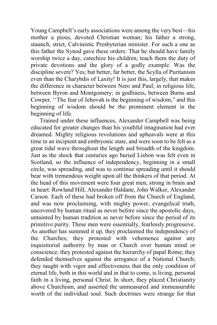Young Campbell's early associations were among the very best—his mother a pious, devoted Christian woman; his father a strong, staunch, strict, Calvinistic Presbyterian minister. For such a one as this father the Synod gave these orders: That he should have family worship twice a day, catechize his children, teach them the duty of private devotions and the glory of a godly example. Was the discipline severe? Yes; but better, far better, the Scylla of Puritanism even than the Charybdis of Laxity! It is just this, largely, that makes the difference in character between Nero and Paul; in religious life, between Byron and Montgomery; in godliness, between Burns and Cowper. ''The fear of Jehovah is the beginning of wisdom," and this beginning of wisdom should be the prominent element in the beginning of life.

Trained under these influences, Alexander Campbell was being educated for greater changes than his youthful imagination had ever dreamed. Mighty religious revolutions and upheavals were at this time in an incipient and embryonic state, and were soon to be felt as a great tidal wave throughout the length and breadth of the kingdom. Just as the shock that centuries ago buried Lisbon was felt even in Scotland, so the influence of independency, beginning in a small circle, was spreading, and was to continue spreading until it should bear with tremendous weight upon all the thinkers of that period. At the head of this movement were four great men, strong in brain and in heart: Rowland Hill, Alexander Haldane, John Walker, Alexander Carson. Each of these had broken off from the Church of England, and was now proclaiming, with mighty power, evangelical truth, uncovered by human ritual as never before since the apostolic days, untainted by human tradition as never before since the period of its primitive purity. These men were essentially, fearlessly progressive. As another has summed it up, they proclaimed the independency of the Churches; they protested with vehemence against any inquisitorial authority by man or Church over human mind or conscience; they protested against the hierarchy of papal Rome; they defended themselves against the arrogance of a National Church; they taught with vigor and effectiveness that the only condition of eternal life, both in this world and in that to come, is living, personal faith in a living, personal Christ. In short, they placed Christianity above Churchism, and asserted the unmeasured and immeasurable worth of the individual soul. Such doctrines were strange for that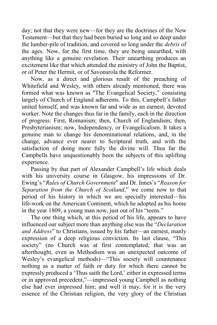day; not that they were new—for they are the doctrines of the New Testament—but that they had been buried so long and so deep under the lumber-pile of tradition, and covered so long under the *debris* of the ages. Now, for the first time, they are being unearthed, with anything like a genuine revelation. Their unearthing produces an excitement like that which attended the ministry of John the Baptist, or of Peter the Hermit, or of Savonarola the Reformer.

Now, as a direct and glorious result of the preaching of Whitefield and Wesley, with others already mentioned, there was formed what was known as "The Evangelical Society," consisting largely of Church of England adherents. To this, Campbell's father united himself, and was known far and wide as an earnest, devoted worker. Note the changes thus far in the family, each in the direction of progress: First, Romanism; then, Church of Englandism; then, Presbyterianism; now, Independency, or Evangelicalism. It takes a genuine man to change his denominational relations, and, in the change, advance ever nearer to Scriptural truth, and with the satisfaction of doing more fully the divine will. Thus far the Campbells have unquestionably been the subjects of this uplifting experience.

Passing by that part of Alexander Campbell's life which deals with his university course in Glasgow, his impressions of Dr. Ewing's "*Rules of Church Government*" and Dr. Innes's "*Reason for Separation from the Church of Scotland*," we come now to that period of his history in which we are specially interested—his life-work on the American Continent, which he adopted as his home in the year 1809, a young man now, just out of his "teens."

The one thing which, at this period of his life, appears to have influenced our subject more than anything else was the "*Declaration and Address*" to Christians, issued by his father—an earnest, manly expression of a deep religious conviction. Its last clause, "This society" (no Church was at first contemplated; that was an afterthought, even as Methodism was an unexpected outcome of Wesley's evangelical methods)—"This society will countenance nothing as a matter of faith or duty for which there cannot be expressly produced a 'Thus saith the Lord,' either in expressed terms or in approved precedent,"—impressed young Campbell as nothing else had ever impressed him; and well it may, for it is the very essence of the Christian religion, the very glory of the Christian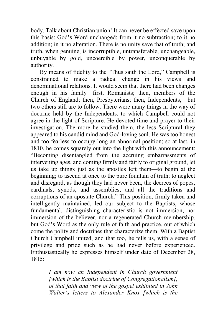body. Talk about Christian union! It can never be effected save upon this basis: God's Word unchanged; from it no subtraction; to it no addition; in it no alteration. There is no unity save that of truth; and truth, when genuine, is incorruptible, untransferable, unchangeable, unbuyable by gold, uncoercible by power, unconquerable by authority.

By means of fidelity to the "Thus saith the Lord," Campbell is constrained to make a radical change in his views and denominational relations. It would seem that there had been changes enough in his family—first, Romanists; then, members of the Church of England; then, Presbyterians; then, Independents,—but two others still are to follow. There were many things in the way of doctrine held by the Independents, to which Campbell could not agree in the light of Scripture. He devoted time and prayer to their investigation. The more he studied them, the less Scriptural they appeared to his candid mind and God-loving soul. He was too honest and too fearless to occupy long an abnormal position; so at last, in 1810, he comes squarely out into the light with this announcement: "Becoming disentangled from the accruing embarrassments of intervening ages, and coming firmly and fairly to original ground, let us take up things just as the apostles left them—to begin at the beginning; to ascend at once to the pure fountain of truth; to neglect and disregard, as though they had never been, the decrees of popes, cardinals, synods, and assemblies, and all the traditions and corruptions of an apostate Church." This position, firmly taken and intelligently maintained, led our subject to the Baptists, whose fundamental, distinguishing characteristic is not immersion, nor immersion of the believer, nor a regenerated Church membership, but God's Word as the only rule of faith and practice, out of which come the polity and doctrines that characterize them. With a Baptist Church Campbell united, and that too, he tells us, with a sense of privilege and pride such as he had never before experienced. Enthusiastically he expresses himself under date of December 28, 1815:

> *I am now an Independent in Church government [which is the Baptist doctrine of Congregationalism], of that faith and view of the gospel exhibited in John Walter's letters to Alexander Knox [which is the*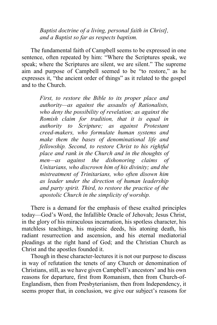*Baptist doctrine of a living, personal faith in Christ], and a Baptist so far as respects baptism.*

The fundamental faith of Campbell seems to be expressed in one sentence, often repeated by him: "Where the Scriptures speak, we speak; where the Scriptures are silent, we are silent." The supreme aim and purpose of Campbell seemed to be "to restore," as he expresses it, "the ancient order of things" as it related to the gospel and to the Church.

> *First, to restore the Bible to its proper place and authority—as against the assaults of Rationalists, who deny the possibility of revelation; as against the Romish claim for tradition, that it is equal in authority to Scripture; as against Protestant creed-makers, who formulate human systems and make them the bases of denominational life and fellowship. Second, to restore Christ to his rightful place and rank in the Church and in the thoughts of men—as against the dishonoring claims of Unitarians, who discrown him of his divinity; and the mistreatment of Trinitarians, who often disown him as leader under the direction of human leadership and party spirit. Third, to restore the practice of the apostolic Church in the simplicity of worship.*

There is a demand for the emphasis of these exalted principles today—God's Word, the Infallible Oracle of Jehovah; Jesus Christ, in the glory of his miraculous incarnation, his spotless character, his matchless teachings, his majestic deeds, his atoning death, his radiant resurrection and ascension, and his eternal mediatorial pleadings at the right hand of God; and the Christian Church as Christ and the apostles founded it.

Though in these character-lectures it is not our purpose to discuss in way of refutation the tenets of any Church or denomination of Christians, still, as we have given Campbell's ancestors' and his own reasons for departure, first from Romanism, then from Church-of-Englandism, then from Presbyterianism, then from Independency, it seems proper that, in conclusion, we give our subject's reasons for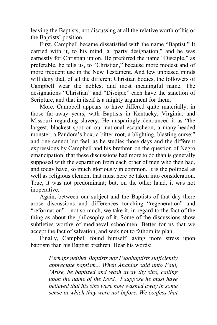leaving the Baptists, not discussing at all the relative worth of his or the Baptists' position.

First, Campbell became dissatisfied with the name "Baptist." It carried with it, to his mind, a "party designation," and he was earnestly for Christian union. He preferred the name "Disciple," as preferable, he tells us, to "Christian," because more modest and of more frequent use in the New Testament. And few unbiased minds will deny that, of all the different Christian bodies, the followers of Campbell wear the noblest and most meaningful name. The designations "Christian" and "Disciple" each have the sanction of Scripture, and that in itself is a mighty argument for them.

More, Campbell appears to have differed quite materially, in those far-away years, with Baptists in Kentucky, Virginia, and Missouri regarding slavery. He unsparingly denounced it as "the largest, blackest spot on our national escutcheon, a many-headed monster, a Pandora's box, a bitter root, a blighting, blasting curse;" and one cannot but feel, as he studies those days and the different expressions by Campbell and his brethren on the question of Negro emancipation, that these discussions had more to do than is generally supposed with the separation from each other of men who then had, and today have, so much gloriously in common. It is the political as well as religious element that must here be taken into consideration. True, it was not predominant; but, on the other hand, it was not inoperative.

Again, between our subject and the Baptists of that day there arose discussions and differences touching "regeneration" and "reformation"—not so much, we take it, in regard to the fact of the thing as about the philosophy of it. Some of the discussions show subtleties worthy of mediaeval schoolmen. Better for us that we accept the fact of salvation, and seek not to fathom its plan.

Finally, Campbell found himself laying more stress upon baptism than his Baptist brethren. Hear his words:

> *Perhaps neither Baptists nor Pedobaptists sufficiently appreciate baptism... When Ananias said unto Paul, 'Arise, be baptized and wash away thy sins, calling upon the name of the Lord,' I suppose he must have believed that his sins were now washed away in some sense in which they were not before. We confess that*